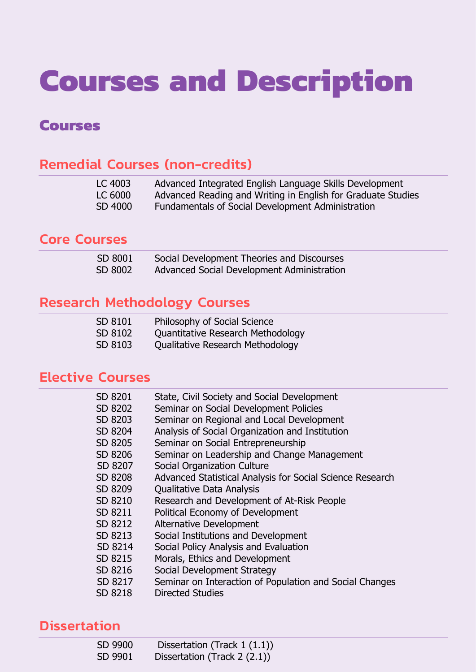# **Courses and Description**

# **Courses**

# Remedial Courses (non-credits)

| LC 4003 | Advanced Integrated English Language Skills Development      |
|---------|--------------------------------------------------------------|
| LC 6000 | Advanced Reading and Writing in English for Graduate Studies |
| SD 4000 | Fundamentals of Social Development Administration            |

# Core Courses

| SD 8001 | Social Development Theories and Discourses |
|---------|--------------------------------------------|
| SD 8002 | Advanced Social Development Administration |

# Research Methodology Courses

| SD 8101 | Philosophy of Social Science      |
|---------|-----------------------------------|
| SD 8102 | Quantitative Research Methodology |
| SD 8103 | Qualitative Research Methodology  |

# Elective Courses

| SD 8201 | State, Civil Society and Social Development               |
|---------|-----------------------------------------------------------|
| SD 8202 | Seminar on Social Development Policies                    |
| SD 8203 | Seminar on Regional and Local Development                 |
| SD 8204 | Analysis of Social Organization and Institution           |
| SD 8205 | Seminar on Social Entrepreneurship                        |
| SD 8206 | Seminar on Leadership and Change Management               |
| SD 8207 | Social Organization Culture                               |
| SD 8208 | Advanced Statistical Analysis for Social Science Research |
| SD 8209 | <b>Qualitative Data Analysis</b>                          |
| SD 8210 | Research and Development of At-Risk People                |
| SD 8211 | Political Economy of Development                          |
| SD 8212 | <b>Alternative Development</b>                            |
| SD 8213 | Social Institutions and Development                       |
| SD 8214 | Social Policy Analysis and Evaluation                     |
| SD 8215 | Morals, Ethics and Development                            |
| SD 8216 | Social Development Strategy                               |
| SD 8217 | Seminar on Interaction of Population and Social Changes   |
| SD 8218 | <b>Directed Studies</b>                                   |
|         |                                                           |

# **Dissertation**

| SD 9900 | Dissertation (Track $1(1.1)$ ) |
|---------|--------------------------------|
| SD 9901 | Dissertation (Track $2(2.1)$ ) |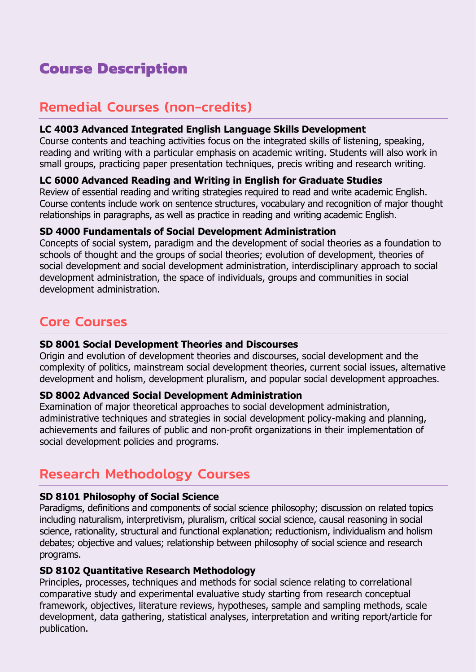# **Course Description**

# Remedial Courses (non-credits)

## **LC 4003 Advanced Integrated English Language Skills Development**

Course contents and teaching activities focus on the integrated skills of listening, speaking, reading and writing with a particular emphasis on academic writing. Students will also work in small groups, practicing paper presentation techniques, precis writing and research writing.

## **LC 6000 Advanced Reading and Writing in English for Graduate Studies**

Review of essential reading and writing strategies required to read and write academic English. Course contents include work on sentence structures, vocabulary and recognition of major thought relationships in paragraphs, as well as practice in reading and writing academic English.

## **SD 4000 Fundamentals of Social Development Administration**

Concepts of social system, paradigm and the development of social theories as a foundation to schools of thought and the groups of social theories; evolution of development, theories of social development and social development administration, interdisciplinary approach to social development administration, the space of individuals, groups and communities in social development administration.

# Core Courses

#### **SD 8001 Social Development Theories and Discourses**

Origin and evolution of development theories and discourses, social development and the complexity of politics, mainstream social development theories, current social issues, alternative development and holism, development pluralism, and popular social development approaches.

# **SD 8002 Advanced Social Development Administration**

Examination of major theoretical approaches to social development administration, administrative techniques and strategies in social development policy-making and planning, achievements and failures of public and non-profit organizations in their implementation of social development policies and programs.

# Research Methodology Courses

# **SD 8101 Philosophy of Social Science**

Paradigms, definitions and components of social science philosophy; discussion on related topics including naturalism, interpretivism, pluralism, critical social science, causal reasoning in social science, rationality, structural and functional explanation; reductionism, individualism and holism debates; objective and values; relationship between philosophy of social science and research programs.

# **SD 8102 Quantitative Research Methodology**

Principles, processes, techniques and methods for social science relating to correlational comparative study and experimental evaluative study starting from research conceptual framework, objectives, literature reviews, hypotheses, sample and sampling methods, scale development, data gathering, statistical analyses, interpretation and writing report/article for publication.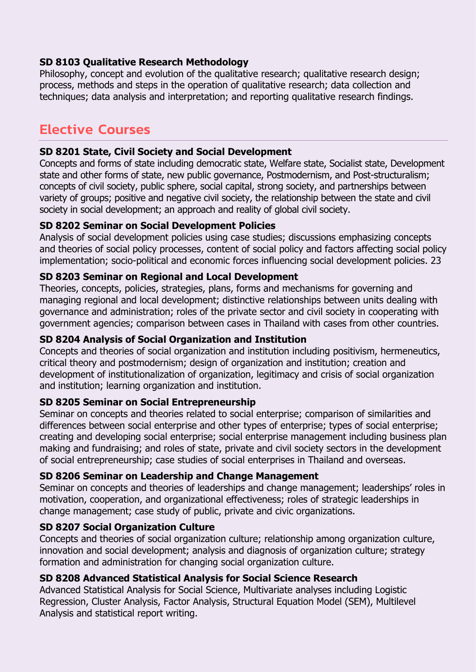## **SD 8103 Qualitative Research Methodology**

Philosophy, concept and evolution of the qualitative research; qualitative research design; process, methods and steps in the operation of qualitative research; data collection and techniques; data analysis and interpretation; and reporting qualitative research findings.

# Elective Courses

#### **SD 8201 State, Civil Society and Social Development**

Concepts and forms of state including democratic state, Welfare state, Socialist state, Development state and other forms of state, new public governance, Postmodernism, and Post-structuralism; concepts of civil society, public sphere, social capital, strong society, and partnerships between variety of groups; positive and negative civil society, the relationship between the state and civil society in social development; an approach and reality of global civil society.

# **SD 8202 Seminar on Social Development Policies**

Analysis of social development policies using case studies; discussions emphasizing concepts and theories of social policy processes, content of social policy and factors affecting social policy implementation; socio-political and economic forces influencing social development policies. 23

#### **SD 8203 Seminar on Regional and Local Development**

Theories, concepts, policies, strategies, plans, forms and mechanisms for governing and managing regional and local development; distinctive relationships between units dealing with governance and administration; roles of the private sector and civil society in cooperating with government agencies; comparison between cases in Thailand with cases from other countries.

#### **SD 8204 Analysis of Social Organization and Institution**

Concepts and theories of social organization and institution including positivism, hermeneutics, critical theory and postmodernism; design of organization and institution; creation and development of institutionalization of organization, legitimacy and crisis of social organization and institution; learning organization and institution.

#### **SD 8205 Seminar on Social Entrepreneurship**

Seminar on concepts and theories related to social enterprise; comparison of similarities and differences between social enterprise and other types of enterprise; types of social enterprise; creating and developing social enterprise; social enterprise management including business plan making and fundraising; and roles of state, private and civil society sectors in the development of social entrepreneurship; case studies of social enterprises in Thailand and overseas.

#### **SD 8206 Seminar on Leadership and Change Management**

Seminar on concepts and theories of leaderships and change management; leaderships' roles in motivation, cooperation, and organizational effectiveness; roles of strategic leaderships in change management; case study of public, private and civic organizations.

#### **SD 8207 Social Organization Culture**

Concepts and theories of social organization culture; relationship among organization culture, innovation and social development; analysis and diagnosis of organization culture; strategy formation and administration for changing social organization culture.

#### **SD 8208 Advanced Statistical Analysis for Social Science Research**

Advanced Statistical Analysis for Social Science, Multivariate analyses including Logistic Regression, Cluster Analysis, Factor Analysis, Structural Equation Model (SEM), Multilevel Analysis and statistical report writing.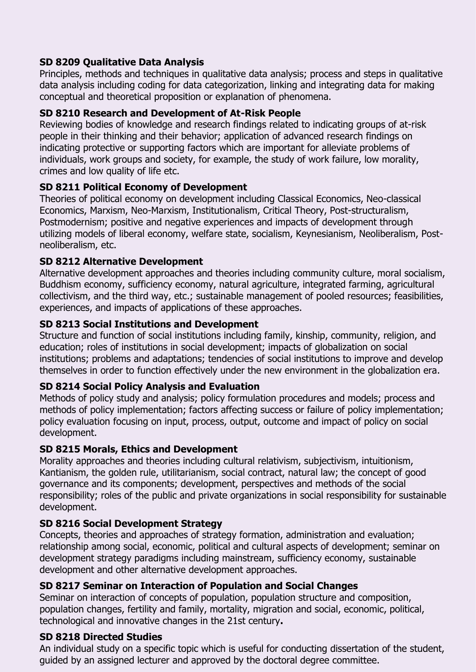# **SD 8209 Qualitative Data Analysis**

Principles, methods and techniques in qualitative data analysis; process and steps in qualitative data analysis including coding for data categorization, linking and integrating data for making conceptual and theoretical proposition or explanation of phenomena.

# **SD 8210 Research and Development of At-Risk People**

Reviewing bodies of knowledge and research findings related to indicating groups of at-risk people in their thinking and their behavior; application of advanced research findings on indicating protective or supporting factors which are important for alleviate problems of individuals, work groups and society, for example, the study of work failure, low morality, crimes and low quality of life etc.

# **SD 8211 Political Economy of Development**

Theories of political economy on development including Classical Economics, Neo-classical Economics, Marxism, Neo-Marxism, Institutionalism, Critical Theory, Post-structuralism, Postmodernism; positive and negative experiences and impacts of development through utilizing models of liberal economy, welfare state, socialism, Keynesianism, Neoliberalism, Postneoliberalism, etc.

# **SD 8212 Alternative Development**

Alternative development approaches and theories including community culture, moral socialism, Buddhism economy, sufficiency economy, natural agriculture, integrated farming, agricultural collectivism, and the third way, etc.; sustainable management of pooled resources; feasibilities, experiences, and impacts of applications of these approaches.

# **SD 8213 Social Institutions and Development**

Structure and function of social institutions including family, kinship, community, religion, and education; roles of institutions in social development; impacts of globalization on social institutions; problems and adaptations; tendencies of social institutions to improve and develop themselves in order to function effectively under the new environment in the globalization era.

# **SD 8214 Social Policy Analysis and Evaluation**

Methods of policy study and analysis; policy formulation procedures and models; process and methods of policy implementation; factors affecting success or failure of policy implementation; policy evaluation focusing on input, process, output, outcome and impact of policy on social development.

# **SD 8215 Morals, Ethics and Development**

Morality approaches and theories including cultural relativism, subjectivism, intuitionism, Kantianism, the golden rule, utilitarianism, social contract, natural law; the concept of good governance and its components; development, perspectives and methods of the social responsibility; roles of the public and private organizations in social responsibility for sustainable development.

# **SD 8216 Social Development Strategy**

Concepts, theories and approaches of strategy formation, administration and evaluation; relationship among social, economic, political and cultural aspects of development; seminar on development strategy paradigms including mainstream, sufficiency economy, sustainable development and other alternative development approaches.

# **SD 8217 Seminar on Interaction of Population and Social Changes**

Seminar on interaction of concepts of population, population structure and composition, population changes, fertility and family, mortality, migration and social, economic, political, technological and innovative changes in the 21st century**.** 

# **SD 8218 Directed Studies**

An individual study on a specific topic which is useful for conducting dissertation of the student, guided by an assigned lecturer and approved by the doctoral degree committee.